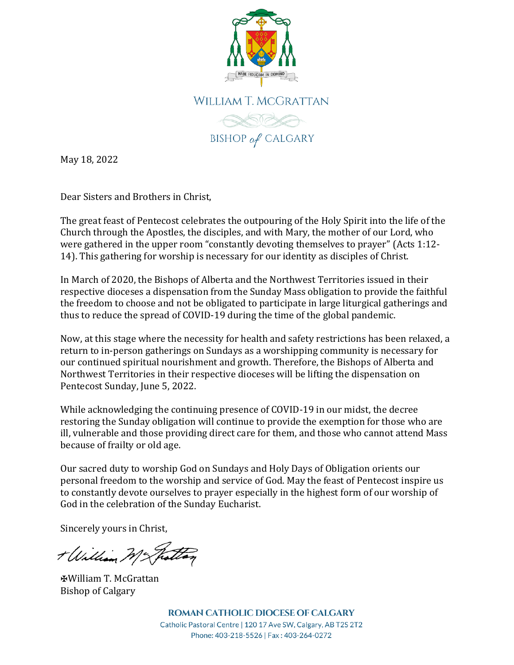

May 18, 2022

Dear Sisters and Brothers in Christ,

The great feast of Pentecost celebrates the outpouring of the Holy Spirit into the life of the Church through the Apostles, the disciples, and with Mary, the mother of our Lord, who were gathered in the upper room "constantly devoting themselves to prayer" (Acts 1:12- 14). This gathering for worship is necessary for our identity as disciples of Christ.

In March of 2020, the Bishops of Alberta and the Northwest Territories issued in their respective dioceses a dispensation from the Sunday Mass obligation to provide the faithful the freedom to choose and not be obligated to participate in large liturgical gatherings and thus to reduce the spread of COVID-19 during the time of the global pandemic.

Now, at this stage where the necessity for health and safety restrictions has been relaxed, a return to in-person gatherings on Sundays as a worshipping community is necessary for our continued spiritual nourishment and growth. Therefore, the Bishops of Alberta and Northwest Territories in their respective dioceses will be lifting the dispensation on Pentecost Sunday, June 5, 2022.

While acknowledging the continuing presence of COVID-19 in our midst, the decree restoring the Sunday obligation will continue to provide the exemption for those who are ill, vulnerable and those providing direct care for them, and those who cannot attend Mass because of frailty or old age.

Our sacred duty to worship God on Sundays and Holy Days of Obligation orients our personal freedom to the worship and service of God. May the feast of Pentecost inspire us to constantly devote ourselves to prayer especially in the highest form of our worship of God in the celebration of the Sunday Eucharist.

Sincerely yours in Christ,

+ William Mc Thattan

✠William T. McGrattan Bishop of Calgary